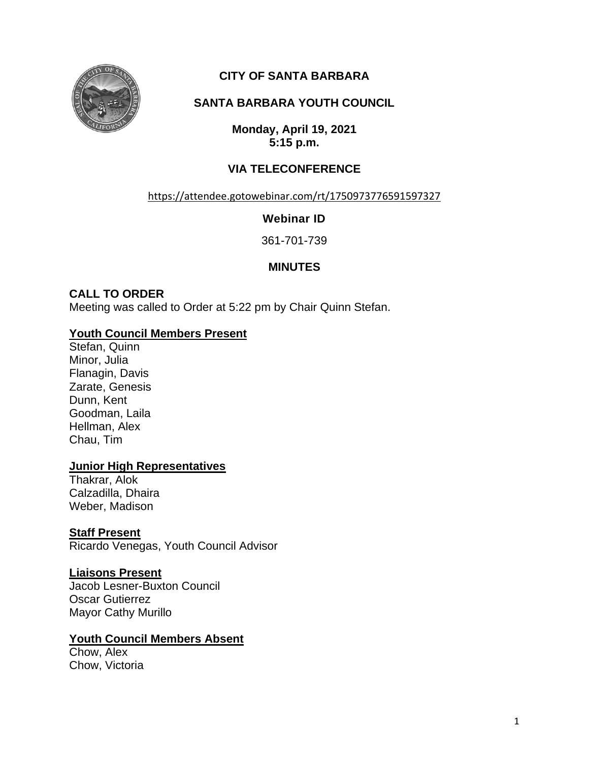

# **CITY OF SANTA BARBARA**

# **SANTA BARBARA YOUTH COUNCIL**

**Monday, April 19, 2021 5:15 p.m.**

# **VIA TELECONFERENCE**

<https://attendee.gotowebinar.com/rt/1750973776591597327>

### **Webinar ID**

361-701-739

## **MINUTES**

# **CALL TO ORDER**

Meeting was called to Order at 5:22 pm by Chair Quinn Stefan.

### **Youth Council Members Present**

Stefan, Quinn Minor, Julia Flanagin, Davis Zarate, Genesis Dunn, Kent Goodman, Laila Hellman, Alex Chau, Tim

#### **Junior High Representatives**

Thakrar, Alok Calzadilla, Dhaira Weber, Madison

## **Staff Present**

Ricardo Venegas, Youth Council Advisor

#### **Liaisons Present**

Jacob Lesner-Buxton Council Oscar Gutierrez Mayor Cathy Murillo

## **Youth Council Members Absent**

Chow, Alex Chow, Victoria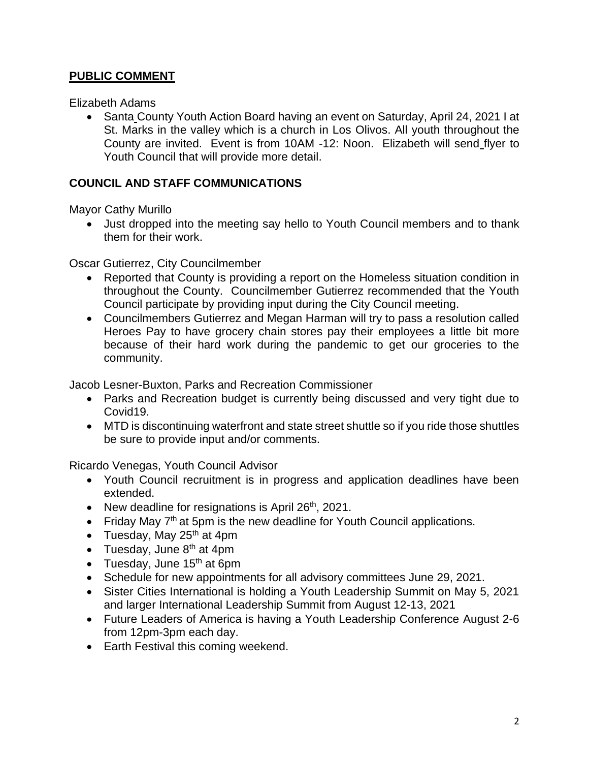## **PUBLIC COMMENT**

Elizabeth Adams

• Santa County Youth Action Board having an event on Saturday, April 24, 2021 I at St. Marks in the valley which is a church in Los Olivos. All youth throughout the County are invited. Event is from 10AM -12: Noon. Elizabeth will send flyer to Youth Council that will provide more detail.

### **COUNCIL AND STAFF COMMUNICATIONS**

Mayor Cathy Murillo

• Just dropped into the meeting say hello to Youth Council members and to thank them for their work.

Oscar Gutierrez, City Councilmember

- Reported that County is providing a report on the Homeless situation condition in throughout the County. Councilmember Gutierrez recommended that the Youth Council participate by providing input during the City Council meeting.
- Councilmembers Gutierrez and Megan Harman will try to pass a resolution called Heroes Pay to have grocery chain stores pay their employees a little bit more because of their hard work during the pandemic to get our groceries to the community.

Jacob Lesner-Buxton, Parks and Recreation Commissioner

- Parks and Recreation budget is currently being discussed and very tight due to Covid19.
- MTD is discontinuing waterfront and state street shuttle so if you ride those shuttles be sure to provide input and/or comments.

Ricardo Venegas, Youth Council Advisor

- Youth Council recruitment is in progress and application deadlines have been extended.
- New deadline for resignations is April  $26<sup>th</sup>$ , 2021.
- Friday May  $7<sup>th</sup>$  at 5pm is the new deadline for Youth Council applications.
- Tuesday, May  $25<sup>th</sup>$  at 4pm
- Tuesday, June  $8<sup>th</sup>$  at 4pm
- Tuesday, June  $15<sup>th</sup>$  at 6pm
- Schedule for new appointments for all advisory committees June 29, 2021.
- Sister Cities International is holding a Youth Leadership Summit on May 5, 2021 and larger International Leadership Summit from August 12-13, 2021
- Future Leaders of America is having a Youth Leadership Conference August 2-6 from 12pm-3pm each day.
- Earth Festival this coming weekend.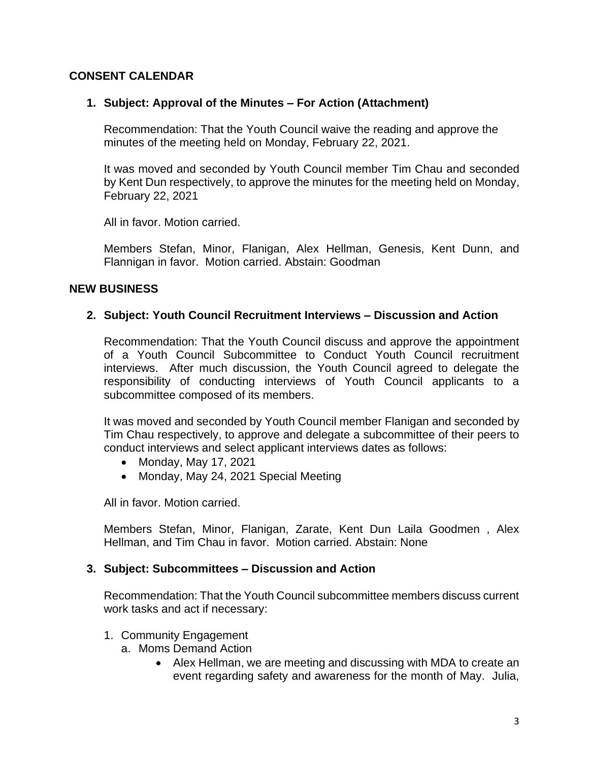### **CONSENT CALENDAR**

#### **1. Subject: Approval of the Minutes – For Action (Attachment)**

Recommendation: That the Youth Council waive the reading and approve the minutes of the meeting held on Monday, February 22, 2021.

It was moved and seconded by Youth Council member Tim Chau and seconded by Kent Dun respectively, to approve the minutes for the meeting held on Monday, February 22, 2021

All in favor. Motion carried.

Members Stefan, Minor, Flanigan, Alex Hellman, Genesis, Kent Dunn, and Flannigan in favor. Motion carried. Abstain: Goodman

#### **NEW BUSINESS**

#### **2. Subject: Youth Council Recruitment Interviews – Discussion and Action**

Recommendation: That the Youth Council discuss and approve the appointment of a Youth Council Subcommittee to Conduct Youth Council recruitment interviews. After much discussion, the Youth Council agreed to delegate the responsibility of conducting interviews of Youth Council applicants to a subcommittee composed of its members.

It was moved and seconded by Youth Council member Flanigan and seconded by Tim Chau respectively, to approve and delegate a subcommittee of their peers to conduct interviews and select applicant interviews dates as follows:

- Monday, May 17, 2021
- Monday, May 24, 2021 Special Meeting

All in favor. Motion carried.

Members Stefan, Minor, Flanigan, Zarate, Kent Dun Laila Goodmen , Alex Hellman, and Tim Chau in favor. Motion carried. Abstain: None

#### **3. Subject: Subcommittees – Discussion and Action**

Recommendation: That the Youth Council subcommittee members discuss current work tasks and act if necessary:

- 1. Community Engagement
	- a. Moms Demand Action
		- Alex Hellman, we are meeting and discussing with MDA to create an event regarding safety and awareness for the month of May. Julia,